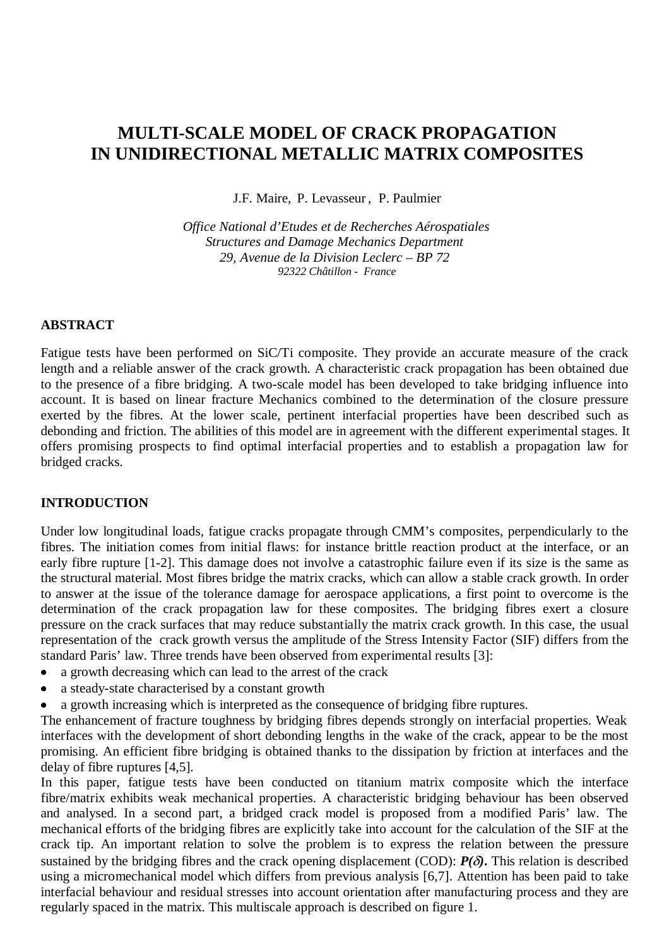# **MULTI-SCALE MODEL OF CRACK PROPAGATION IN UNIDIRECTIONAL METALLIC MATRIX COMPOSITES**

J.F. Maire, P. Levasseur, P. Paulmier

 *Office National d'Etudes et de Recherches Aérospatiales Structures and Damage Mechanics Department 29, Avenue de la Division Leclerc – BP 72 92322 Châtillon - France*

#### **ABSTRACT**

Fatigue tests have been performed on SiC/Ti composite. They provide an accurate measure of the crack length and a reliable answer of the crack growth. A characteristic crack propagation has been obtained due to the presence of a fibre bridging. A two-scale model has been developed to take bridging influence into account. It is based on linear fracture Mechanics combined to the determination of the closure pressure exerted by the fibres. At the lower scale, pertinent interfacial properties have been described such as debonding and friction. The abilities of this model are in agreement with the different experimental stages. It offers promising prospects to find optimal interfacial properties and to establish a propagation law for bridged cracks.

## **INTRODUCTION**

Under low longitudinal loads, fatigue cracks propagate through CMM's composites, perpendicularly to the fibres. The initiation comes from initial flaws: for instance brittle reaction product at the interface, or an early fibre rupture [1-2]. This damage does not involve a catastrophic failure even if its size is the same as the structural material. Most fibres bridge the matrix cracks, which can allow a stable crack growth. In order to answer at the issue of the tolerance damage for aerospace applications, a first point to overcome is the determination of the crack propagation law for these composites. The bridging fibres exert a closure pressure on the crack surfaces that may reduce substantially the matrix crack growth. In this case, the usual representation of the crack growth versus the amplitude of the Stress Intensity Factor (SIF) differs from the standard Paris' law. Three trends have been observed from experimental results [3]:

- a growth decreasing which can lead to the arrest of the crack
- a steady-state characterised by a constant growth
- a growth increasing which is interpreted as the consequence of bridging fibre ruptures.

The enhancement of fracture toughness by bridging fibres depends strongly on interfacial properties. Weak interfaces with the development of short debonding lengths in the wake of the crack, appear to be the most promising. An efficient fibre bridging is obtained thanks to the dissipation by friction at interfaces and the delay of fibre ruptures [4,5].

In this paper, fatigue tests have been conducted on titanium matrix composite which the interface fibre/matrix exhibits weak mechanical properties. A characteristic bridging behaviour has been observed and analysed. In a second part, a bridged crack model is proposed from a modified Paris' law. The mechanical efforts of the bridging fibres are explicitly take into account for the calculation of the SIF at the crack tip. An important relation to solve the problem is to express the relation between the pressure sustained by the bridging fibres and the crack opening displacement (COD):  $P(\delta)$ **.** This relation is described using a micromechanical model which differs from previous analysis [6,7]. Attention has been paid to take interfacial behaviour and residual stresses into account orientation after manufacturing process and they are regularly spaced in the matrix. This multiscale approach is described on figure 1.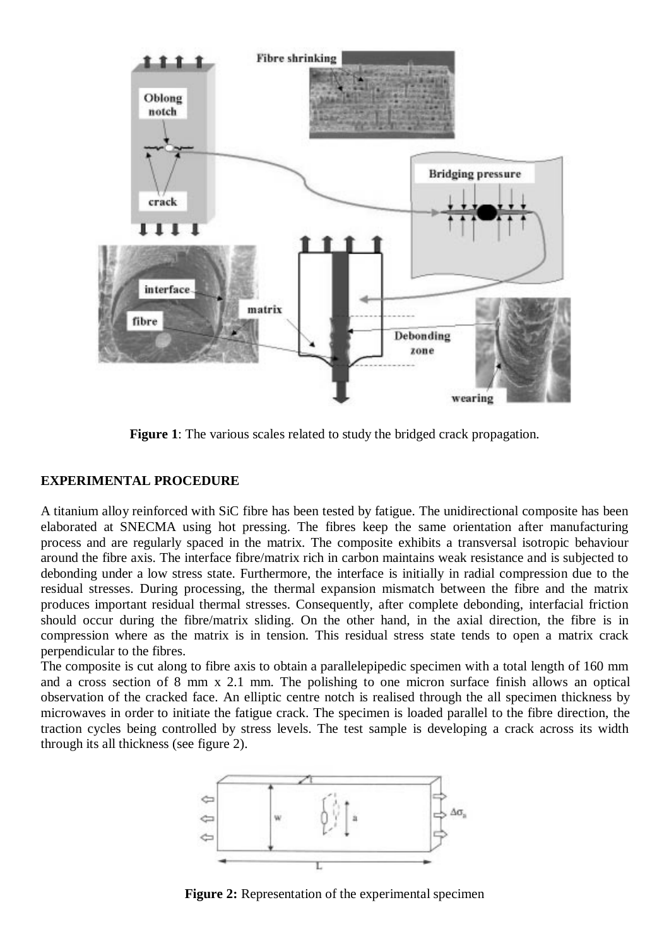

**Figure 1**: The various scales related to study the bridged crack propagation.

# **EXPERIMENTAL PROCEDURE**

A titanium alloy reinforced with SiC fibre has been tested by fatigue. The unidirectional composite has been elaborated at SNECMA using hot pressing. The fibres keep the same orientation after manufacturing process and are regularly spaced in the matrix. The composite exhibits a transversal isotropic behaviour around the fibre axis. The interface fibre/matrix rich in carbon maintains weak resistance and is subjected to debonding under a low stress state. Furthermore, the interface is initially in radial compression due to the residual stresses. During processing, the thermal expansion mismatch between the fibre and the matrix produces important residual thermal stresses. Consequently, after complete debonding, interfacial friction should occur during the fibre/matrix sliding. On the other hand, in the axial direction, the fibre is in compression where as the matrix is in tension. This residual stress state tends to open a matrix crack perpendicular to the fibres.

The composite is cut along to fibre axis to obtain a parallelepipedic specimen with a total length of 160 mm and a cross section of 8 mm x 2.1 mm. The polishing to one micron surface finish allows an optical observation of the cracked face. An elliptic centre notch is realised through the all specimen thickness by microwaves in order to initiate the fatigue crack. The specimen is loaded parallel to the fibre direction, the traction cycles being controlled by stress levels. The test sample is developing a crack across its width through its all thickness (see figure 2).



**Figure 2:** Representation of the experimental specimen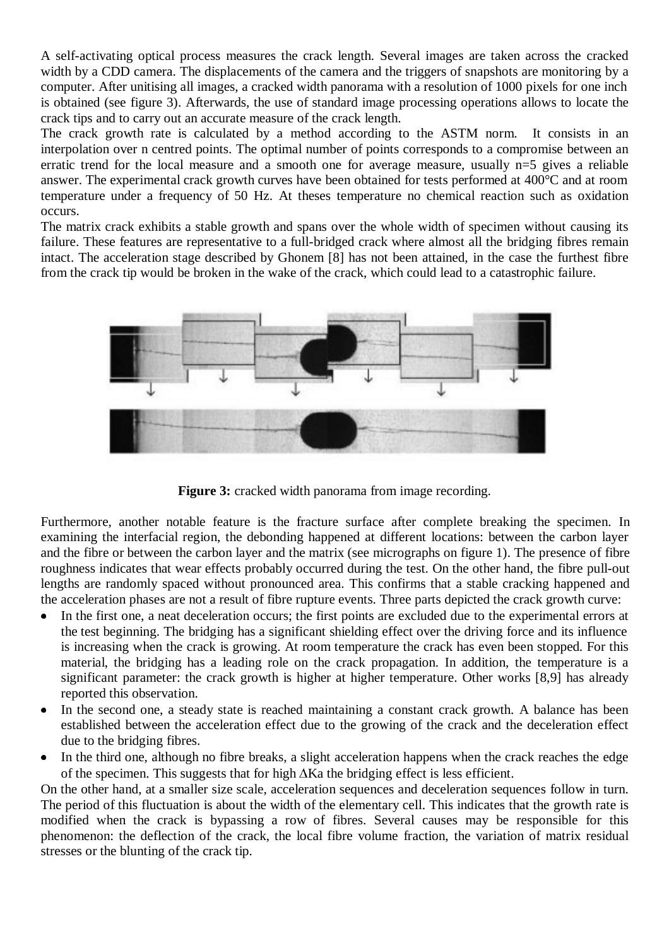A self-activating optical process measures the crack length. Several images are taken across the cracked width by a CDD camera. The displacements of the camera and the triggers of snapshots are monitoring by a computer. After unitising all images, a cracked width panorama with a resolution of 1000 pixels for one inch is obtained (see figure 3). Afterwards, the use of standard image processing operations allows to locate the crack tips and to carry out an accurate measure of the crack length.

The crack growth rate is calculated by a method according to the ASTM norm. It consists in an interpolation over n centred points. The optimal number of points corresponds to a compromise between an erratic trend for the local measure and a smooth one for average measure, usually n=5 gives a reliable answer. The experimental crack growth curves have been obtained for tests performed at 400°C and at room temperature under a frequency of 50 Hz. At theses temperature no chemical reaction such as oxidation occurs.

The matrix crack exhibits a stable growth and spans over the whole width of specimen without causing its failure. These features are representative to a full-bridged crack where almost all the bridging fibres remain intact. The acceleration stage described by Ghonem [8] has not been attained, in the case the furthest fibre from the crack tip would be broken in the wake of the crack, which could lead to a catastrophic failure.



**Figure 3:** cracked width panorama from image recording.

Furthermore, another notable feature is the fracture surface after complete breaking the specimen. In examining the interfacial region, the debonding happened at different locations: between the carbon layer and the fibre or between the carbon layer and the matrix (see micrographs on figure 1). The presence of fibre roughness indicates that wear effects probably occurred during the test. On the other hand, the fibre pull-out lengths are randomly spaced without pronounced area. This confirms that a stable cracking happened and the acceleration phases are not a result of fibre rupture events. Three parts depicted the crack growth curve:

- In the first one, a neat deceleration occurs; the first points are excluded due to the experimental errors at the test beginning. The bridging has a significant shielding effect over the driving force and its influence is increasing when the crack is growing. At room temperature the crack has even been stopped. For this material, the bridging has a leading role on the crack propagation. In addition, the temperature is a significant parameter: the crack growth is higher at higher temperature. Other works [8,9] has already reported this observation.
- In the second one, a steady state is reached maintaining a constant crack growth. A balance has been established between the acceleration effect due to the growing of the crack and the deceleration effect due to the bridging fibres.
- In the third one, although no fibre breaks, a slight acceleration happens when the crack reaches the edge of the specimen. This suggests that for high  $\Delta$ Ka the bridging effect is less efficient.

On the other hand, at a smaller size scale, acceleration sequences and deceleration sequences follow in turn. The period of this fluctuation is about the width of the elementary cell. This indicates that the growth rate is modified when the crack is bypassing a row of fibres. Several causes may be responsible for this phenomenon: the deflection of the crack, the local fibre volume fraction, the variation of matrix residual stresses or the blunting of the crack tip.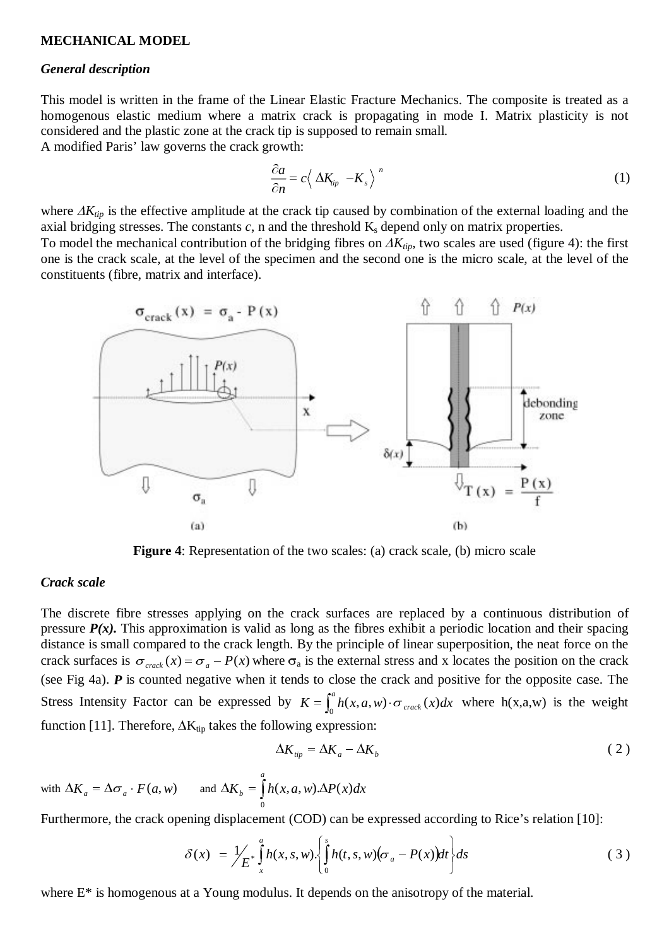#### **MECHANICAL MODEL**

#### *General description*

This model is written in the frame of the Linear Elastic Fracture Mechanics. The composite is treated as a homogenous elastic medium where a matrix crack is propagating in mode I. Matrix plasticity is not considered and the plastic zone at the crack tip is supposed to remain small.

A modified Paris' law governs the crack growth:

$$
\frac{\partial a}{\partial n} = c \left\langle \Delta K_{ip} - K_s \right\rangle^n \tag{1}
$$

where  $\Delta K_{tip}$  is the effective amplitude at the crack tip caused by combination of the external loading and the axial bridging stresses. The constants  $c$ , n and the threshold  $K_s$  depend only on matrix properties.

To model the mechanical contribution of the bridging fibres on  $\Delta K_{tip}$ , two scales are used (figure 4): the first one is the crack scale, at the level of the specimen and the second one is the micro scale, at the level of the constituents (fibre, matrix and interface).



**Figure 4**: Representation of the two scales: (a) crack scale, (b) micro scale

#### *Crack scale*

The discrete fibre stresses applying on the crack surfaces are replaced by a continuous distribution of pressure  $P(x)$ . This approximation is valid as long as the fibres exhibit a periodic location and their spacing distance is small compared to the crack length. By the principle of linear superposition, the neat force on the crack surfaces is  $\sigma_{crack}(x) = \sigma_a - P(x)$  where  $\sigma_a$  is the external stress and x locates the position on the crack (see Fig 4a). *P* is counted negative when it tends to close the crack and positive for the opposite case. The Stress Intensity Factor can be expressed by  $K = \int_0^a h(x, a, w) \cdot \sigma_{\text{crack}}(x) dx$  where  $h(x, a, w)$  is the weight function [11]. Therefore,  $\Delta K_{tip}$  takes the following expression:

$$
\Delta K_{\text{tip}} = \Delta K_a - \Delta K_b \tag{2}
$$

with  $\Delta K_a = \Delta \sigma_a \cdot F(a, w)$  and  $\Delta K_b = \int_a^a h(x, a, w) \cdot \Delta$  $K_b = h(x, a, w) \Delta P(x) dx$  $\mathbf{0}$  $(x, a, w) \Delta P(x)$ 

Furthermore, the crack opening displacement (COD) can be expressed according to Rice's relation [10]:

$$
\delta(x) = \frac{1}{E^*} \int_x^a h(x, s, w) \left\{ \int_0^s h(t, s, w) (\sigma_a - P(x)) dt \right\} ds \tag{3}
$$

where  $E^*$  is homogenous at a Young modulus. It depends on the anisotropy of the material.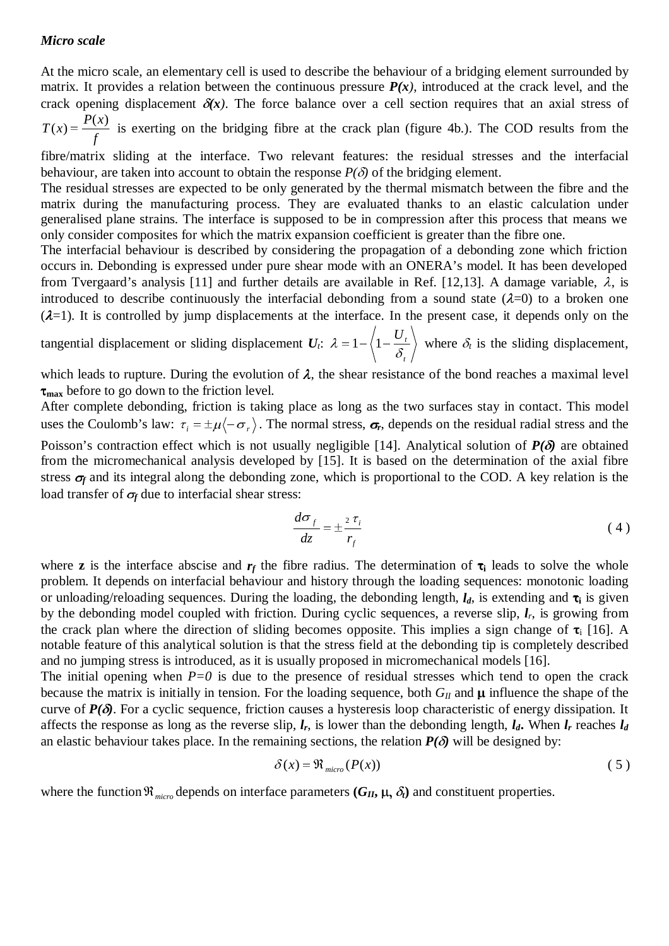### *Micro scale*

At the micro scale, an elementary cell is used to describe the behaviour of a bridging element surrounded by matrix. It provides a relation between the continuous pressure  $P(x)$ , introduced at the crack level, and the crack opening displacement  $\delta(x)$ . The force balance over a cell section requires that an axial stress of *f*  $T(x) = \frac{P(x)}{x}$  is exerting on the bridging fibre at the crack plan (figure 4b.). The COD results from the

fibre/matrix sliding at the interface. Two relevant features: the residual stresses and the interfacial behaviour, are taken into account to obtain the response  $P(\delta)$  of the bridging element.

The residual stresses are expected to be only generated by the thermal mismatch between the fibre and the matrix during the manufacturing process. They are evaluated thanks to an elastic calculation under generalised plane strains. The interface is supposed to be in compression after this process that means we only consider composites for which the matrix expansion coefficient is greater than the fibre one.

The interfacial behaviour is described by considering the propagation of a debonding zone which friction occurs in. Debonding is expressed under pure shear mode with an ONERA's model. It has been developed from Tvergaard's analysis [11] and further details are available in Ref. [12,13]. A damage variable,  $\lambda$ , is introduced to describe continuously the interfacial debonding from a sound state  $(\lambda=0)$  to a broken one  $(\lambda=1)$ . It is controlled by jump displacements at the interface. In the present case, it depends only on the

tangential displacement or sliding displacement *Ut*: *t*  $U_t$  $\delta$  $\lambda = 1 - \left\langle 1 - \frac{U_t}{v} \right\rangle$  where  $\delta_t$  is the sliding displacement,

which leads to rupture. During the evolution of  $\lambda$ , the shear resistance of the bond reaches a maximal level  $\tau_{\text{max}}$  before to go down to the friction level.

After complete debonding, friction is taking place as long as the two surfaces stay in contact. This model uses the Coulomb's law:  $\tau_i = \pm \mu \langle -\sigma_r \rangle$ . The normal stress,  $\sigma_r$ , depends on the residual radial stress and the Poisson's contraction effect which is not usually negligible [14]. Analytical solution of  $P(\delta)$  are obtained from the micromechanical analysis developed by [15]. It is based on the determination of the axial fibre stress  $\sigma_f$  and its integral along the debonding zone, which is proportional to the COD. A key relation is the load transfer of  $\sigma_f$  due to interfacial shear stress:

$$
\frac{d\sigma_f}{dz} = \pm \frac{2\,\tau_i}{r_f} \tag{4}
$$

where **z** is the interface abscise and  $r_f$  the fibre radius. The determination of  $\tau_i$  leads to solve the whole problem. It depends on interfacial behaviour and history through the loading sequences: monotonic loading or unloading/reloading sequences. During the loading, the debonding length,  $l_d$ , is extending and  $\tau_i$  is given by the debonding model coupled with friction. During cyclic sequences, a reverse slip, *lr*, is growing from the crack plan where the direction of sliding becomes opposite. This implies a sign change of  $\tau$ <sub>i</sub> [16]. A notable feature of this analytical solution is that the stress field at the debonding tip is completely described and no jumping stress is introduced, as it is usually proposed in micromechanical models [16].

The initial opening when  $P=0$  is due to the presence of residual stresses which tend to open the crack because the matrix is initially in tension. For the loading sequence, both  $G_{II}$  and  $\mu$  influence the shape of the curve of  $P(\delta)$ . For a cyclic sequence, friction causes a hysteresis loop characteristic of energy dissipation. It affects the response as long as the reverse slip, *lr*, is lower than the debonding length, *ld***.** When *lr* reaches *ld* an elastic behaviour takes place. In the remaining sections, the relation  $P(\delta)$  will be designed by:

$$
\delta(x) = \Re_{micro}(P(x))
$$
\n(5)

where the function  $\Re_{micro}$  depends on interface parameters  $(G_H, \mu, \delta)$  and constituent properties.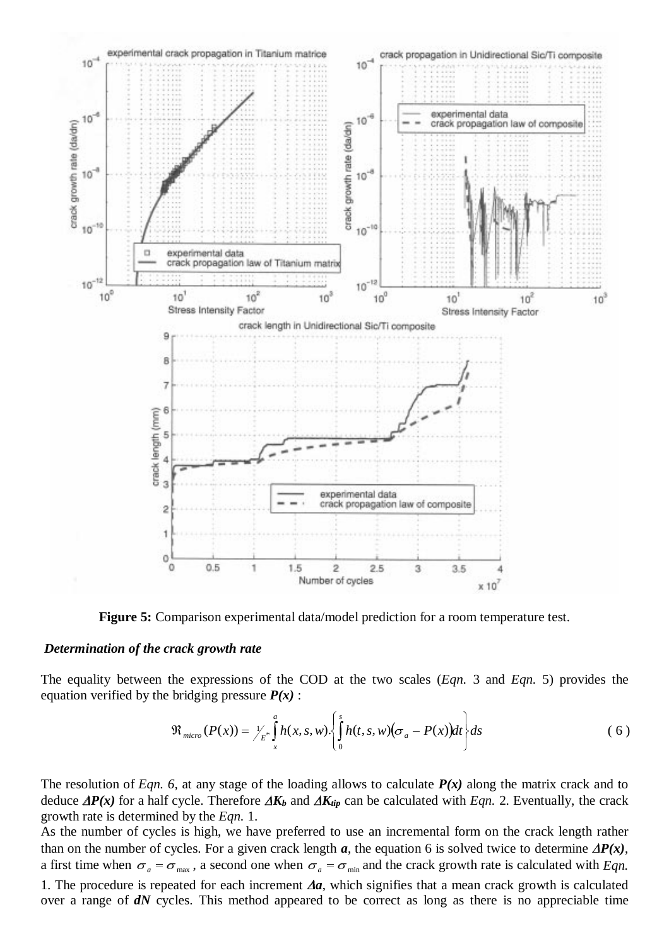

**Figure 5:** Comparison experimental data/model prediction for a room temperature test.

#### *Determination of the crack growth rate*

The equality between the expressions of the COD at the two scales (*Eqn.* 3 and *Eqn.* 5) provides the equation verified by the bridging pressure  $P(x)$ :

$$
\mathfrak{R}_{micro}(P(x)) = \frac{1}{E} \int_{E}^{a} h(x, s, w) \left\{ \int_{0}^{s} h(t, s, w) (\sigma_a - P(x)) dt \right\} ds \tag{6}
$$

The resolution of *Eqn.* 6, at any stage of the loading allows to calculate  $P(x)$  along the matrix crack and to deduce  $\Delta P(x)$  for a half cycle. Therefore  $\Delta K_b$  and  $\Delta K_{tip}$  can be calculated with *Eqn.* 2. Eventually, the crack growth rate is determined by the *Eqn.* 1.

As the number of cycles is high, we have preferred to use an incremental form on the crack length rather than on the number of cycles. For a given crack length  $a$ , the equation 6 is solved twice to determine  $\Delta P(x)$ , a first time when  $\sigma_a = \sigma_{\text{max}}$ , a second one when  $\sigma_a = \sigma_{\text{min}}$  and the crack growth rate is calculated with *Eqn.* 1. The procedure is repeated for each increment  $\Delta a$ , which signifies that a mean crack growth is calculated over a range of *dN* cycles. This method appeared to be correct as long as there is no appreciable time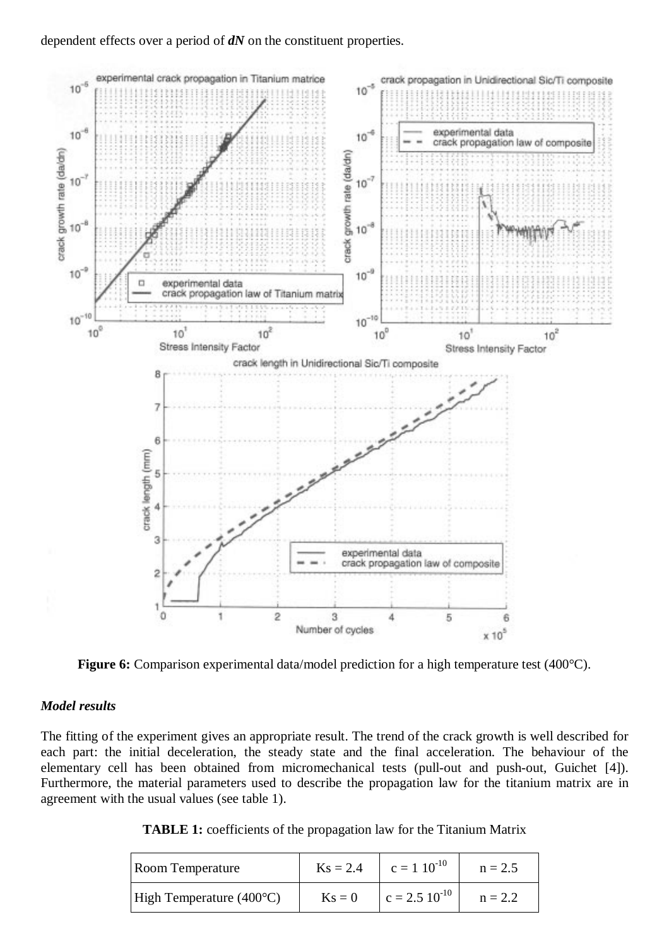#### dependent effects over a period of *dN* on the constituent properties.



**Figure 6:** Comparison experimental data/model prediction for a high temperature test (400<sup>o</sup>C).

## *Model results*

The fitting of the experiment gives an appropriate result. The trend of the crack growth is well described for each part: the initial deceleration, the steady state and the final acceleration. The behaviour of the elementary cell has been obtained from micromechanical tests (pull-out and push-out, Guichet [4]). Furthermore, the material parameters used to describe the propagation law for the titanium matrix are in agreement with the usual values (see table 1).

| Room Temperature                  | $\text{Ks} = 2.4$   $\text{c} = 1 \ 10^{-10}$               | $n = 2.5$ |
|-----------------------------------|-------------------------------------------------------------|-----------|
| High Temperature $(400^{\circ}C)$ | $\text{Ks} = 0$ $\vert \text{c} = 2.5 \; 10^{-10} \; \vert$ | $n = 2.2$ |

| <b>TABLE 1:</b> coefficients of the propagation law for the Titanium Matrix |  |  |  |
|-----------------------------------------------------------------------------|--|--|--|
|-----------------------------------------------------------------------------|--|--|--|